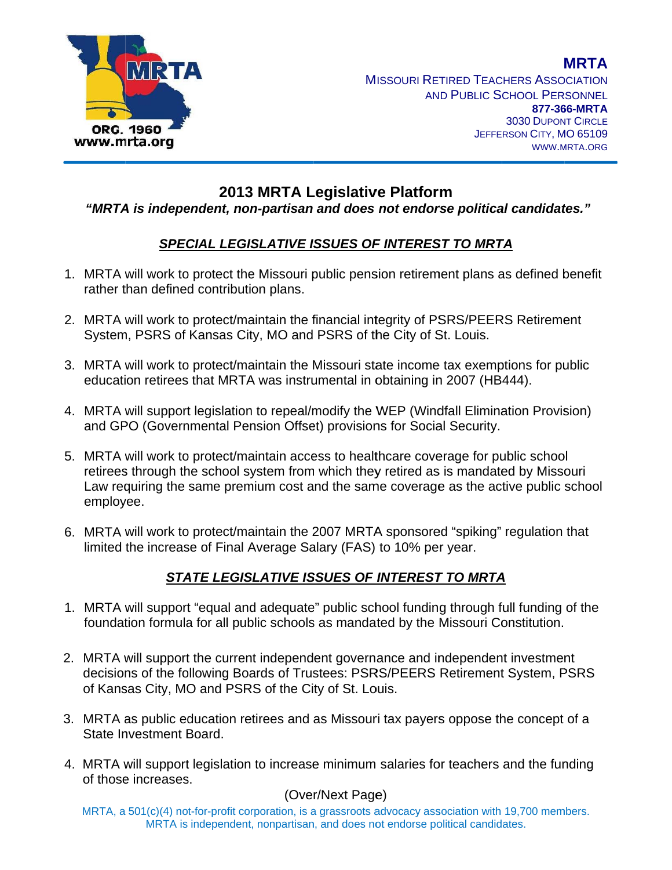

# 2013 MRTA Legislative Platform

### "MRTA is independent, non-partisan and does not endorse political candidates."

## SPECIAL LEGISLATIVE ISSUES OF INTEREST TO MRTA

- 1. MRTA will work to protect the Missouri public pension retirement plans as defined benefit rather than defined contribution plans.
- 2. MRTA will work to protect/maintain the financial integrity of PSRS/PEERS Retirement System, PSRS of Kansas City, MO and PSRS of the City of St. Louis.
- 3. MRTA will work to protect/maintain the Missouri state income tax exemptions for public education retirees that MRTA was instrumental in obtaining in 2007 (HB444).
- 4. MRTA will support legislation to repeal/modify the WEP (Windfall Elimination Provision) and GPO (Governmental Pension Offset) provisions for Social Security.
- 5. MRTA will work to protect/maintain access to healthcare coverage for public school retirees through the school system from which they retired as is mandated by Missouri Law requiring the same premium cost and the same coverage as the active public school employee.
- 6. MRTA will work to protect/maintain the 2007 MRTA sponsored "spiking" regulation that limited the increase of Final Average Salary (FAS) to 10% per year.

## STATE LEGISLATIVE ISSUES OF INTEREST TO MRTA

- 1. MRTA will support "equal and adequate" public school funding through full funding of the foundation formula for all public schools as mandated by the Missouri Constitution.
- 2. MRTA will support the current independent governance and independent investment decisions of the following Boards of Trustees: PSRS/PEERS Retirement System, PSRS of Kansas City, MO and PSRS of the City of St. Louis.
- 3. MRTA as public education retirees and as Missouri tax payers oppose the concept of a State Investment Board.
- 4. MRTA will support legislation to increase minimum salaries for teachers and the funding of those increases.

### (Over/Next Page)

MRTA, a 501(c)(4) not-for-profit corporation, is a grassroots advocacy association with 19,700 members. MRTA is independent, nonpartisan, and does not endorse political candidates.